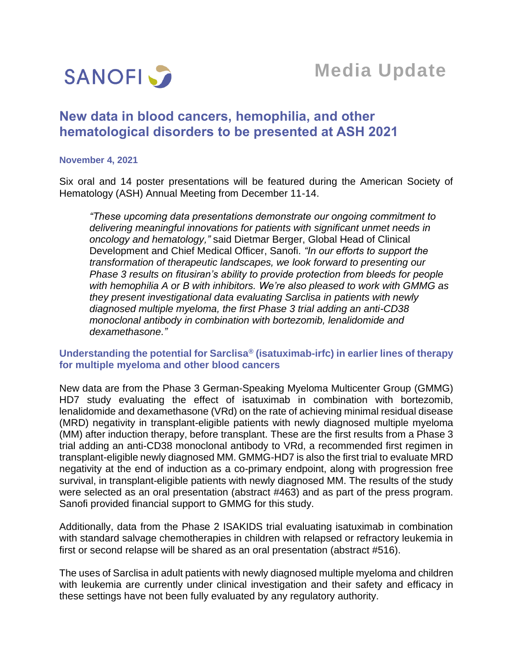

# **New data in blood cancers, hemophilia, and other hematological disorders to be presented at ASH 2021**

#### **November 4, 2021**

Six oral and 14 poster presentations will be featured during the American Society of Hematology (ASH) Annual Meeting from December 11-14.

*"These upcoming data presentations demonstrate our ongoing commitment to delivering meaningful innovations for patients with significant unmet needs in oncology and hematology,"* said Dietmar Berger, Global Head of Clinical Development and Chief Medical Officer, Sanofi. *"In our efforts to support the transformation of therapeutic landscapes, we look forward to presenting our Phase 3 results on fitusiran's ability to provide protection from bleeds for people with hemophilia A or B with inhibitors. We're also pleased to work with GMMG as they present investigational data evaluating Sarclisa in patients with newly diagnosed multiple myeloma, the first Phase 3 trial adding an anti-CD38 monoclonal antibody in combination with bortezomib, lenalidomide and dexamethasone."*

### **Understanding the potential for Sarclisa® (isatuximab-irfc) in earlier lines of therapy for multiple myeloma and other blood cancers**

New data are from the Phase 3 German-Speaking Myeloma Multicenter Group (GMMG) HD7 study evaluating the effect of isatuximab in combination with bortezomib, lenalidomide and dexamethasone (VRd) on the rate of achieving minimal residual disease (MRD) negativity in transplant-eligible patients with newly diagnosed multiple myeloma (MM) after induction therapy, before transplant. These are the first results from a Phase 3 trial adding an anti-CD38 monoclonal antibody to VRd, a recommended first regimen in transplant-eligible newly diagnosed MM. GMMG-HD7 is also the first trial to evaluate MRD negativity at the end of induction as a co-primary endpoint, along with progression free survival, in transplant-eligible patients with newly diagnosed MM. The results of the study were selected as an oral presentation (abstract #463) and as part of the press program. Sanofi provided financial support to GMMG for this study.

Additionally, data from the Phase 2 ISAKIDS trial evaluating isatuximab in combination with standard salvage chemotherapies in children with relapsed or refractory leukemia in first or second relapse will be shared as an oral presentation (abstract #516).

The uses of Sarclisa in adult patients with newly diagnosed multiple myeloma and children with leukemia are currently under clinical investigation and their safety and efficacy in these settings have not been fully evaluated by any regulatory authority.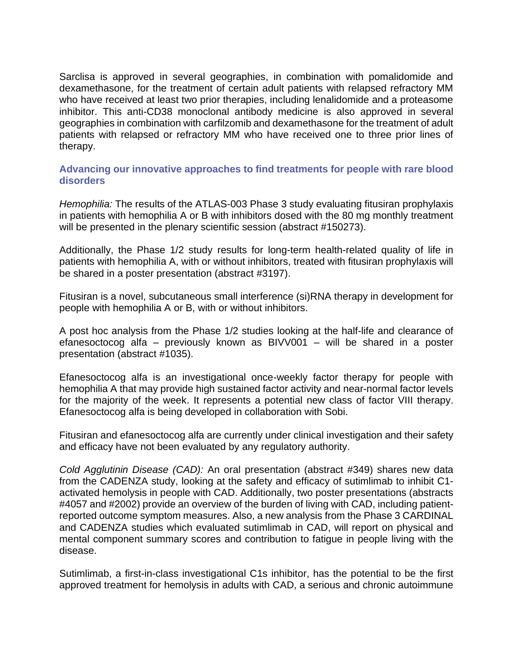Sarclisa is approved in several geographies, in combination with pomalidomide and dexamethasone, for the treatment of certain adult patients with relapsed refractory MM who have received at least two prior therapies, including lenalidomide and a proteasome inhibitor. This anti-CD38 monoclonal antibody medicine is also approved in several geographies in combination with carfilzomib and dexamethasone for the treatment of adult patients with relapsed or refractory MM who have received one to three prior lines of therapy.

**Advancing our innovative approaches to find treatments for people with rare blood disorders**

*Hemophilia:* The results of the ATLAS-003 Phase 3 study evaluating fitusiran prophylaxis in patients with hemophilia A or B with inhibitors dosed with the 80 mg monthly treatment will be presented in the plenary scientific session (abstract #150273).

Additionally, the Phase 1/2 study results for long-term health-related quality of life in patients with hemophilia A, with or without inhibitors, treated with fitusiran prophylaxis will be shared in a poster presentation (abstract #3197).

Fitusiran is a novel, subcutaneous small interference (si)RNA therapy in development for people with hemophilia A or B, with or without inhibitors.

A post hoc analysis from the Phase 1/2 studies looking at the half-life and clearance of efanesoctocog alfa – previously known as BIVV001 – will be shared in a poster presentation (abstract #1035).

Efanesoctocog alfa is an investigational once-weekly factor therapy for people with hemophilia A that may provide high sustained factor activity and near-normal factor levels for the majority of the week. It represents a potential new class of factor VIII therapy. Efanesoctocog alfa is being developed in collaboration with Sobi.

Fitusiran and efanesoctocog alfa are currently under clinical investigation and their safety and efficacy have not been evaluated by any regulatory authority.

*Cold Agglutinin Disease (CAD):* An oral presentation (abstract #349) shares new data from the CADENZA study, looking at the safety and efficacy of sutimlimab to inhibit C1 activated hemolysis in people with CAD. Additionally, two poster presentations (abstracts #4057 and #2002) provide an overview of the burden of living with CAD, including patientreported outcome symptom measures. Also, a new analysis from the Phase 3 CARDINAL and CADENZA studies which evaluated sutimlimab in CAD, will report on physical and mental component summary scores and contribution to fatigue in people living with the disease.

Sutimlimab, a first-in-class investigational C1s inhibitor, has the potential to be the first approved treatment for hemolysis in adults with CAD, a serious and chronic autoimmune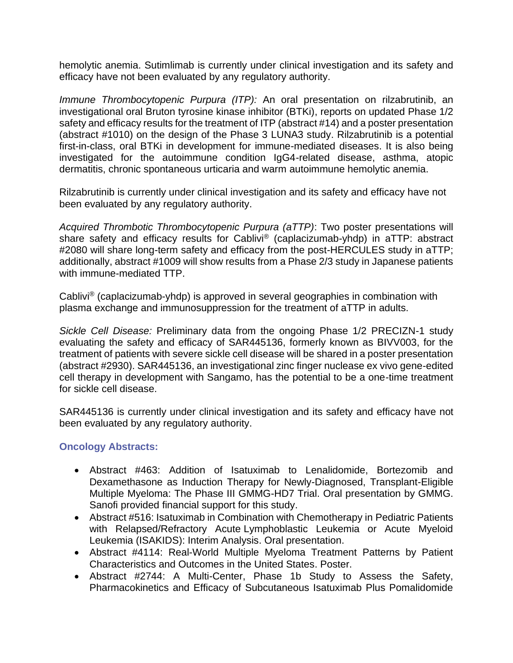hemolytic anemia. Sutimlimab is currently under clinical investigation and its safety and efficacy have not been evaluated by any regulatory authority.

*Immune Thrombocytopenic Purpura (ITP):* An oral presentation on rilzabrutinib, an investigational oral Bruton tyrosine kinase inhibitor (BTKi), reports on updated Phase 1/2 safety and efficacy results for the treatment of ITP (abstract #14) and a poster presentation (abstract #1010) on the design of the Phase 3 LUNA3 study. Rilzabrutinib is a potential first-in-class, oral BTKi in development for immune-mediated diseases. It is also being investigated for the autoimmune condition IgG4-related disease, asthma, atopic dermatitis, chronic spontaneous urticaria and warm autoimmune hemolytic anemia.

Rilzabrutinib is currently under clinical investigation and its safety and efficacy have not been evaluated by any regulatory authority.

*Acquired Thrombotic Thrombocytopenic Purpura (aTTP)*: Two poster presentations will share safety and efficacy results for Cablivi® (caplacizumab-yhdp) in aTTP: abstract #2080 will share long-term safety and efficacy from the post-HERCULES study in aTTP; additionally, abstract #1009 will show results from a Phase 2/3 study in Japanese patients with immune-mediated TTP.

Cablivi® (caplacizumab-yhdp) is approved in several geographies in combination with plasma exchange and immunosuppression for the treatment of aTTP in adults.

*Sickle Cell Disease:* Preliminary data from the ongoing Phase 1/2 PRECIZN-1 study evaluating the safety and efficacy of SAR445136, formerly known as BIVV003, for the treatment of patients with severe sickle cell disease will be shared in a poster presentation (abstract #2930). SAR445136, an investigational zinc finger nuclease ex vivo gene-edited cell therapy in development with Sangamo, has the potential to be a one-time treatment for sickle cell disease.

SAR445136 is currently under clinical investigation and its safety and efficacy have not been evaluated by any regulatory authority.

## **Oncology Abstracts:**

- Abstract #463: Addition of Isatuximab to Lenalidomide, Bortezomib and Dexamethasone as Induction Therapy for Newly-Diagnosed, Transplant-Eligible Multiple Myeloma: The Phase III GMMG-HD7 Trial. Oral presentation by GMMG. Sanofi provided financial support for this study.
- Abstract #516: Isatuximab in Combination with Chemotherapy in Pediatric Patients with Relapsed/Refractory Acute Lymphoblastic Leukemia or Acute Myeloid Leukemia (ISAKIDS): Interim Analysis. Oral presentation.
- Abstract #4114: Real-World Multiple Myeloma Treatment Patterns by Patient Characteristics and Outcomes in the United States. Poster.
- Abstract #2744: A Multi-Center, Phase 1b Study to Assess the Safety, Pharmacokinetics and Efficacy of Subcutaneous Isatuximab Plus Pomalidomide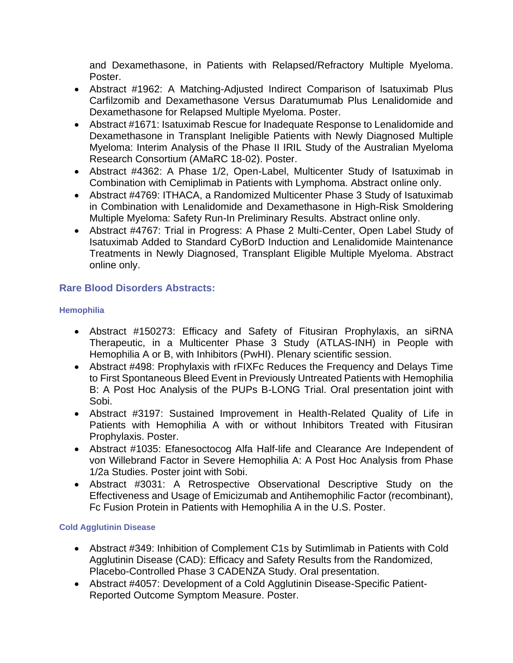and Dexamethasone, in Patients with Relapsed/Refractory Multiple Myeloma. Poster.

- Abstract #1962: A Matching-Adjusted Indirect Comparison of lsatuximab Plus Carfilzomib and Dexamethasone Versus Daratumumab Plus Lenalidomide and Dexamethasone for Relapsed Multiple Myeloma. Poster.
- Abstract #1671: Isatuximab Rescue for Inadequate Response to Lenalidomide and Dexamethasone in Transplant Ineligible Patients with Newly Diagnosed Multiple Myeloma: Interim Analysis of the Phase II IRIL Study of the Australian Myeloma Research Consortium (AMaRC 18-02). Poster.
- Abstract #4362: A Phase 1/2, Open-Label, Multicenter Study of Isatuximab in Combination with Cemiplimab in Patients with Lymphoma. Abstract online only.
- Abstract #4769: ITHACA, a Randomized Multicenter Phase 3 Study of Isatuximab in Combination with Lenalidomide and Dexamethasone in High-Risk Smoldering Multiple Myeloma: Safety Run-In Preliminary Results. Abstract online only.
- Abstract #4767: Trial in Progress: A Phase 2 Multi-Center, Open Label Study of Isatuximab Added to Standard CyBorD Induction and Lenalidomide Maintenance Treatments in Newly Diagnosed, Transplant Eligible Multiple Myeloma. Abstract online only.

## **Rare Blood Disorders Abstracts:**

## **Hemophilia**

- Abstract #150273: Efficacy and Safety of Fitusiran Prophylaxis, an siRNA Therapeutic, in a Multicenter Phase 3 Study (ATLAS-INH) in People with Hemophilia A or B, with Inhibitors (PwHI). Plenary scientific session.
- Abstract #498: Prophylaxis with rFIXFc Reduces the Frequency and Delays Time to First Spontaneous Bleed Event in Previously Untreated Patients with Hemophilia B: A Post Hoc Analysis of the PUPs B-LONG Trial. Oral presentation joint with Sobi.
- Abstract #3197: Sustained Improvement in Health-Related Quality of Life in Patients with Hemophilia A with or without Inhibitors Treated with Fitusiran Prophylaxis. Poster.
- Abstract #1035: Efanesoctocog Alfa Half-life and Clearance Are Independent of von Willebrand Factor in Severe Hemophilia A: A Post Hoc Analysis from Phase 1/2a Studies. Poster joint with Sobi.
- Abstract #3031: A Retrospective Observational Descriptive Study on the Effectiveness and Usage of Emicizumab and Antihemophilic Factor (recombinant), Fc Fusion Protein in Patients with Hemophilia A in the U.S. Poster.

## **Cold Agglutinin Disease**

- Abstract #349: Inhibition of Complement C1s by Sutimlimab in Patients with Cold Agglutinin Disease (CAD): Efficacy and Safety Results from the Randomized, Placebo-Controlled Phase 3 CADENZA Study. Oral presentation.
- Abstract #4057: Development of a Cold Agglutinin Disease-Specific Patient-Reported Outcome Symptom Measure. Poster.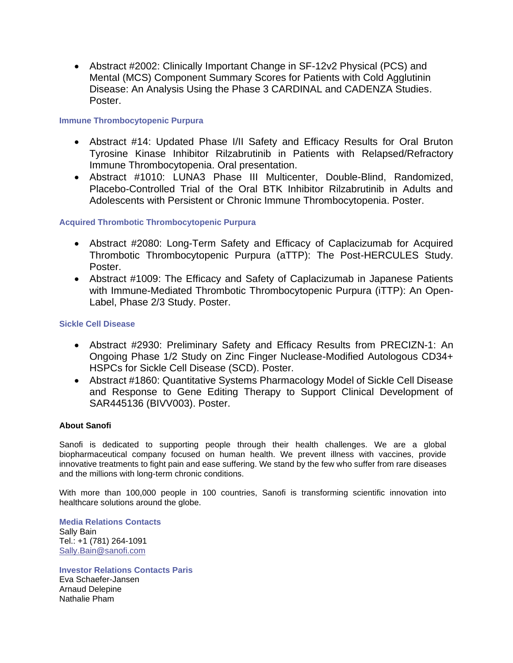• Abstract #2002: Clinically Important Change in SF-12v2 Physical (PCS) and Mental (MCS) Component Summary Scores for Patients with Cold Agglutinin Disease: An Analysis Using the Phase 3 CARDINAL and CADENZA Studies. Poster.

### **Immune Thrombocytopenic Purpura**

- Abstract #14: Updated Phase I/II Safety and Efficacy Results for Oral Bruton Tyrosine Kinase Inhibitor Rilzabrutinib in Patients with Relapsed/Refractory Immune Thrombocytopenia. Oral presentation.
- Abstract #1010: LUNA3 Phase III Multicenter, Double-Blind, Randomized, Placebo-Controlled Trial of the Oral BTK Inhibitor Rilzabrutinib in Adults and Adolescents with Persistent or Chronic Immune Thrombocytopenia. Poster.

### **Acquired Thrombotic Thrombocytopenic Purpura**

- Abstract #2080: Long-Term Safety and Efficacy of Caplacizumab for Acquired Thrombotic Thrombocytopenic Purpura (aTTP): The Post-HERCULES Study. Poster.
- Abstract #1009: The Efficacy and Safety of Caplacizumab in Japanese Patients with Immune-Mediated Thrombotic Thrombocytopenic Purpura (iTTP): An Open-Label, Phase 2/3 Study. Poster.

### **Sickle Cell Disease**

- Abstract #2930: Preliminary Safety and Efficacy Results from PRECIZN-1: An Ongoing Phase 1/2 Study on Zinc Finger Nuclease-Modified Autologous CD34+ HSPCs for Sickle Cell Disease (SCD). Poster.
- Abstract #1860: Quantitative Systems Pharmacology Model of Sickle Cell Disease and Response to Gene Editing Therapy to Support Clinical Development of SAR445136 (BIVV003). Poster.

#### **About Sanofi**

Sanofi is dedicated to supporting people through their health challenges. We are a global biopharmaceutical company focused on human health. We prevent illness with vaccines, provide innovative treatments to fight pain and ease suffering. We stand by the few who suffer from rare diseases and the millions with long-term chronic conditions.

With more than 100,000 people in 100 countries, Sanofi is transforming scientific innovation into healthcare solutions around the globe.

**Media Relations Contacts**

Sally Bain Tel.: +1 (781) 264-1091 [Sally.Bain@sanofi.com](mailto:Sally.Bain@sanofi.com)

**Investor Relations Contacts Paris**

Eva Schaefer-Jansen Arnaud Delepine Nathalie Pham